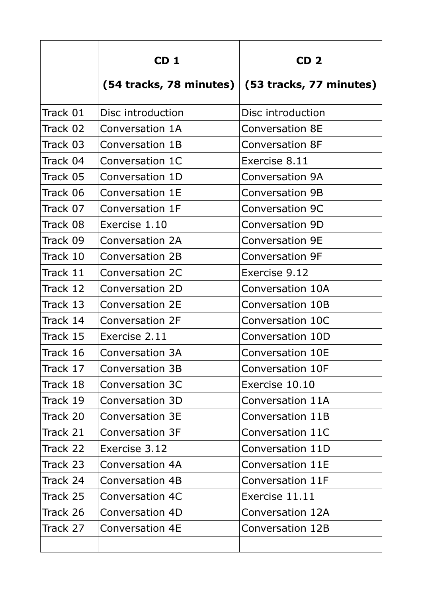|          | CD <sub>1</sub>         | CD <sub>2</sub>         |
|----------|-------------------------|-------------------------|
|          | (54 tracks, 78 minutes) | (53 tracks, 77 minutes) |
| Track 01 | Disc introduction       | Disc introduction       |
| Track 02 | Conversation 1A         | <b>Conversation 8E</b>  |
| Track 03 | Conversation 1B         | <b>Conversation 8F</b>  |
| Track 04 | Conversation 1C         | Exercise 8.11           |
| Track 05 | Conversation 1D         | <b>Conversation 9A</b>  |
| Track 06 | Conversation 1E         | <b>Conversation 9B</b>  |
| Track 07 | Conversation 1F         | <b>Conversation 9C</b>  |
| Track 08 | Exercise 1.10           | <b>Conversation 9D</b>  |
| Track 09 | Conversation 2A         | <b>Conversation 9E</b>  |
| Track 10 | Conversation 2B         | <b>Conversation 9F</b>  |
| Track 11 | Conversation 2C         | Exercise 9.12           |
| Track 12 | Conversation 2D         | Conversation 10A        |
| Track 13 | Conversation 2E         | Conversation 10B        |
| Track 14 | <b>Conversation 2F</b>  | Conversation 10C        |
| Track 15 | Exercise 2.11           | Conversation 10D        |
| Track 16 | <b>Conversation 3A</b>  | <b>Conversation 10E</b> |
| Track 17 | Conversation 3B         | Conversation 10F        |
| Track 18 | Conversation 3C         | Exercise 10.10          |
| Track 19 | Conversation 3D         | Conversation 11A        |
| Track 20 | Conversation 3E         | Conversation 11B        |
| Track 21 | Conversation 3F         | Conversation 11C        |
| Track 22 | Exercise 3.12           | Conversation 11D        |
| Track 23 | Conversation 4A         | Conversation 11E        |
| Track 24 | <b>Conversation 4B</b>  | Conversation 11F        |
| Track 25 | <b>Conversation 4C</b>  | Exercise 11.11          |
| Track 26 | Conversation 4D         | Conversation 12A        |
| Track 27 | <b>Conversation 4E</b>  | Conversation 12B        |
|          |                         |                         |